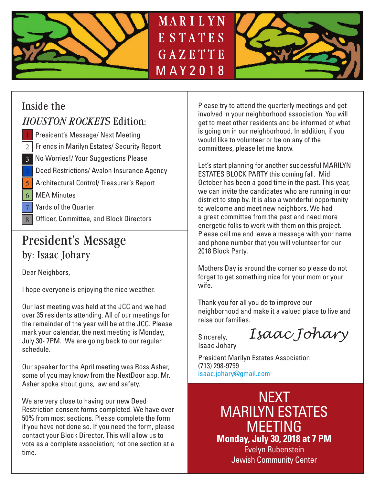



# Inside the

### *HOUSTON ROCKETS* Edition:

- President's Message/ Next Meeting 1
- $\rm 2$   $\,|\,$  Friends in Marilyn Estates/ Security Report
- No Worries!/ Your Suggestions Please 3
- Deed Restrictions/ Avalon Insurance Agency 4
- <mark>5 |</mark> Architectural Control/ Treasurer's Report
- 6 MEA Minutes
- 7 Yards of the Quarter
- Officer, Committee, and Block Directors

## President's Message by: Isaac Johary

Dear Neighbors,

I hope everyone is enjoying the nice weather.

Our last meeting was held at the JCC and we had over 35 residents attending. All of our meetings for the remainder of the year will be at the JCC. Please mark your calendar, the next meeting is Monday, July 30- 7PM. We are going back to our regular schedule.

Our speaker for the April meeting was Ross Asher, some of you may know from the NextDoor app. Mr. Asher spoke about guns, law and safety.

We are very close to having our new Deed Restriction consent forms completed. We have over 50% from most sections. Please complete the form if you have not done so. If you need the form, please contact your Block Director. This will allow us to vote as a complete association; not one section at a time.

Please try to attend the quarterly meetings and get involved in your neighborhood association. You will get to meet other residents and be informed of what is going on in our neighborhood. In addition, if you would like to volunteer or be on any of the committees, please let me know.

Let's start planning for another successful MARILYN ESTATES BLOCK PARTY this coming fall. Mid October has been a good time in the past. This year, we can invite the candidates who are running in our district to stop by. It is also a wonderful opportunity to welcome and meet new neighbors. We had a great committee from the past and need more energetic folks to work with them on this project. Please call me and leave a message with your name and phone number that you will volunteer for our 2018 Block Party.

Mothers Day is around the corner so please do not forget to get something nice for your mom or your wife.

Thank you for all you do to improve our neighborhood and make it a valued place to live and raise our families.

Sincerely, Isaac Johary

*Isaac Johary*

President Marilyn Estates Association (713) 298-9799 isaac.johary@gmail.com

> NEXT MARILYN ESTATES MEETING **Monday, July 30, 2018 at 7 PM** Evelyn Rubenstein Jewish Community Center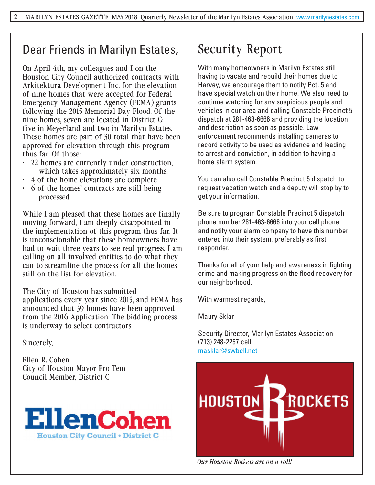### Dear Friends in Marilyn Estates,

On April 4th, my colleagues and I on the Houston City Council authorized contracts with Arkitektura Development Inc. for the elevation of nine homes that were accepted for Federal Emergency Management Agency (FEMA) grants following the 2015 Memorial Day Flood. Of the nine homes, seven are located in District C: five in Meyerland and two in Marilyn Estates. These homes are part of 30 total that have been approved for elevation through this program thus far. Of those:

- 22 homes are currently under construction, which takes approximately six months.
- 4 of the home elevations are complete
- 6 of the homes' contracts are still being processed.

While I am pleased that these homes are finally moving forward, I am deeply disappointed in the implementation of this program thus far. It is unconscionable that these homeowners have had to wait three years to see real progress. I am calling on all involved entities to do what they can to streamline the process for all the homes still on the list for elevation.

The City of Houston has submitted applications every year since 2015, and FEMA has announced that 39 homes have been approved from the 2016 Application. The bidding process is underway to select contractors.

Sincerely,

Ellen R. Cohen City of Houston Mayor Pro Tem Council Member, District C



# Security Report

With many homeowners in Marilyn Estates still having to vacate and rebuild their homes due to Harvey, we encourage them to notify Pct. 5 and have special watch on their home. We also need to continue watching for any suspicious people and vehicles in our area and calling Constable Precinct 5 dispatch at 281-463-6666 and providing the location and description as soon as possible. Law enforcement recommends installing cameras to record activity to be used as evidence and leading to arrest and conviction, in addition to having a home alarm system.

You can also call Constable Precinct 5 dispatch to request vacation watch and a deputy will stop by to get your information.

Be sure to program Constable Precinct 5 dispatch phone number 281-463-6666 into your cell phone and notify your alarm company to have this number entered into their system, preferably as first responder.

Thanks for all of your help and awareness in fighting crime and making progress on the flood recovery for our neighborhood.

With warmest regards,

Maury Sklar

Security Director, Marilyn Estates Association (713) 248-2257 cell masklar@swbell.net



*Our Houston Rockets are on a roll!*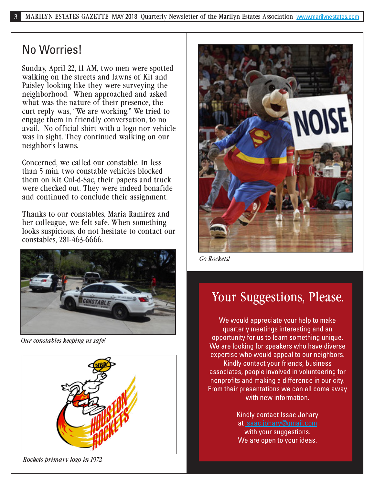### No Worries!

Sunday, April 22, 11 AM, two men were spotted walking on the streets and lawns of Kit and Paisley looking like they were surveying the neighborhood. When approached and asked what was the nature of their presence, the curt reply was, "We are working." We tried to engage them in friendly conversation, to no avail. No official shirt with a logo nor vehicle was in sight. They continued walking on our neighbor's lawns.

Concerned, we called our constable. In less than 5 min. two constable vehicles blocked them on Kit Cul-d-Sac, their papers and truck were checked out. They were indeed bonafide and continued to conclude their assignment.

Thanks to our constables, Maria Ramirez and her colleague, we felt safe. When something looks suspicious, do not hesitate to contact our constables, 281-463-6666.



*Our constables keeping us safe!*





*Go Rockets!*

## Your Suggestions, Please.

We would appreciate your help to make quarterly meetings interesting and an opportunity for us to learn something unique. We are looking for speakers who have diverse expertise who would appeal to our neighbors. Kindly contact your friends, business associates, people involved in volunteering for nonprofits and making a difference in our city. From their presentations we can all come away with new information.

> Kindly contact Issac Johary at isaac.johary@gmail.com with your suggestions. We are open to your ideas.

*Rockets primary logo in 1972.*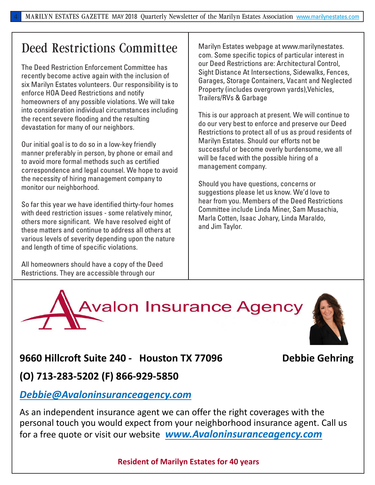### Deed Restrictions Committee

The Deed Restriction Enforcement Committee has recently become active again with the inclusion of six Marilyn Estates volunteers. Our responsibility is to enforce HOA Deed Restrictions and notify homeowners of any possible violations. We will take into consideration individual circumstances including the recent severe flooding and the resulting devastation for many of our neighbors.

Our initial goal is to do so in a low-key friendly manner preferably in person, by phone or email and to avoid more formal methods such as certified correspondence and legal counsel. We hope to avoid the necessity of hiring management company to monitor our neighborhood.

So far this year we have identified thirty-four homes with deed restriction issues - some relatively minor, others more significant. We have resolved eight of these matters and continue to address all others at various levels of severity depending upon the nature and length of time of specific violations.

All homeowners should have a copy of the Deed Restrictions. They are accessible through our

Marilyn Estates webpage at www.marilynestates. com. Some specific topics of particular interest in our Deed Restrictions are: Architectural Control, Sight Distance At Intersections, Sidewalks, Fences, Garages, Storage Containers, Vacant and Neglected Property (includes overgrown yards),Vehicles, Trailers/RVs & Garbage

This is our approach at present. We will continue to do our very best to enforce and preserve our Deed Restrictions to protect all of us as proud residents of Marilyn Estates. Should our efforts not be successful or become overly burdensome, we all will be faced with the possible hiring of a management company.

Should you have questions, concerns or suggestions please let us know. We'd love to hear from you. Members of the Deed Restrictions Committee include Linda Miner, Sam Musachia, Marla Cotten, Isaac Johary, Linda Maraldo, and Jim Taylor.



### **9660 Hillcroft Suite 240 - Houston TX 77096 Debbie Gehring**

**(O) 713-283-5202 (F) 866-929-5850** 

#### *Debbie@Avaloninsuranceagency.com*

As an independent insurance agent we can offer the right coverages with the personal touch you would expect from your neighborhood insurance agent. Call us for a free quote or visit our website *www.Avaloninsuranceagency.com* 

#### **Resident of Marilyn Estates for 40 years**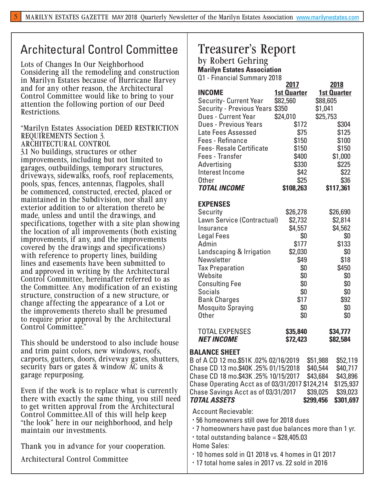### Architectural Control Committee

Lots of Changes In Our Neighborhood Considering all the remodeling and construction in Marilyn Estates because of Hurricane Harvey and for any other reason, the Architectural Control Committee would like to bring to your attention the following portion of our Deed Restrictions.

"Marilyn Estates Association DEED RESTRICTION REQUIREMENTS Section 3. ARCHITECTURAL CONTROL

3.1 No buildings, structures or other improvements, including but not limited to garages, outbuildings, temporary structures, driveways, sidewalks, roofs, roof replacements, pools, spas, fences, antennas, flagpoles, shall be commenced, constructed, erected, placed or maintained in the Subdivision, nor shall any exterior addition to or alteration thereto be made, unless and until the drawings, and specifications, together with a site plan showing the location of all improvements (both existing improvements, if any, and the improvements covered by the drawings and specifications) with reference to property lines, building lines and easements have been submitted to and approved in writing by the Architectural Control Committee, hereinafter referred to as the Committee. Any modification of an existing structure, construction of a new structure, or change affecting the appearance of a Lot or the improvements thereto shall be presumed to require prior approval by the Architectural Control Committee."

This should be understood to also include house and trim paint colors, new windows, roofs, carports, gutters, doors, driveway gates, shutters, security bars or gates & window AC units & garage repurposing.

Even if the work is to replace what is currently there with exactly the same thing, you still need to get written approval from the Architectural Control Committee.All of this will help keep "the look" here in our neighborhood, and help maintain our investments.

Thank you in advance for your cooperation.

Architectural Control Committee

### Treasurer's Report

by Robert Gehring

**Marilyn Estates Association**  Q1 - Financial Summary 2018

|                                                       | 2017               |                      | 2018                 |
|-------------------------------------------------------|--------------------|----------------------|----------------------|
| <b>INCOME</b>                                         | <b>1st Quarter</b> |                      | <b>1st Quarter</b>   |
| <b>Security- Current Year</b>                         | \$82,560           | \$88,605             |                      |
| Security - Previous Years \$350                       |                    | \$1,041              |                      |
| <b>Dues - Current Year</b>                            | \$24,010           | \$25,753             |                      |
| <b>Dues - Previous Years</b>                          | \$172              |                      | \$304                |
| Late Fees Assessed                                    | \$75               |                      | \$125                |
| <b>Fees - Refinance</b>                               | \$150              |                      | \$100                |
| <b>Fees- Resale Certificate</b>                       | \$150              |                      | \$150                |
| <b>Fees - Transfer</b>                                | \$400              |                      | \$1,000              |
| Advertising                                           | \$330              |                      | \$225                |
| Interest Income                                       | \$42               |                      | \$22                 |
| <b>Other</b>                                          | \$25               |                      | \$36                 |
| <b>TOTAL INCOME</b>                                   | \$108,263          |                      | \$117,361            |
| <b>EXPENSES</b>                                       |                    |                      |                      |
| Security                                              | \$26,278           |                      | \$26,690             |
| Lawn Service (Contractual)                            | \$2,732            |                      | \$2,814              |
| Insurance                                             | \$4,557            |                      | \$4,562              |
| <b>Legal Fees</b>                                     | \$0                |                      | \$0                  |
| Admin                                                 | \$177              |                      | \$133                |
| Landscaping & Irrigation                              | \$2,030            |                      | \$0                  |
| Newsletter                                            | \$49               |                      | \$18                 |
| <b>Tax Preparation</b>                                | \$0                |                      | \$450                |
| Website                                               | \$0                |                      | \$0                  |
| <b>Consulting Fee</b>                                 | \$0                |                      | \$0                  |
| <b>Socials</b>                                        | \$0                |                      | \$0                  |
| <b>Bank Charges</b>                                   | \$17               |                      | \$92                 |
| <b>Mosquito Spraying</b>                              | \$0                |                      | \$0                  |
| <b>Other</b>                                          | \$0                |                      | \$0                  |
| <b>TOTAL EXPENSES</b>                                 | \$35,840           |                      | \$34,777             |
| <b>NET INCOME</b>                                     | \$72,423           |                      | \$82,584             |
| <b>BALANCE SHEET</b>                                  |                    |                      |                      |
| B of A CD 12 mo.\$51K .02% 02/16/2019                 |                    |                      |                      |
| Chase CD 13 mo.\$40K .25% 01/15/2018                  |                    | \$51,988<br>\$40,544 | \$52,119<br>\$40,717 |
| Chase CD 18 mo.\$43K .25% 10/15/2017                  |                    | \$43,684             | \$43,896             |
| Chase Operating Acct as of 03/31/2017 \$124,214       |                    |                      | \$125,937            |
| Chase Savings Acct as of 03/31/2017                   |                    | \$39,025             | \$39,023             |
| <b>TOTAL ASSETS</b>                                   |                    | \$299,456            | \$301,697            |
| <b>Account Recievable:</b>                            |                    |                      |                      |
| .56 homeowners still owe for 2018 dues                |                    |                      |                      |
| • 7 homeowners have past due balances more than 1 yr. |                    |                      |                      |
| $\cdot$ total outstanding balance = \$28,405.03       |                    |                      |                      |
|                                                       |                    |                      |                      |
| <b>Home Sales:</b>                                    |                    |                      |                      |
| · 10 homes sold in Q1 2018 vs. 4 homes in Q1 2017     |                    |                      |                      |

• 17 total home sales in 2017 vs. 22 sold in 2016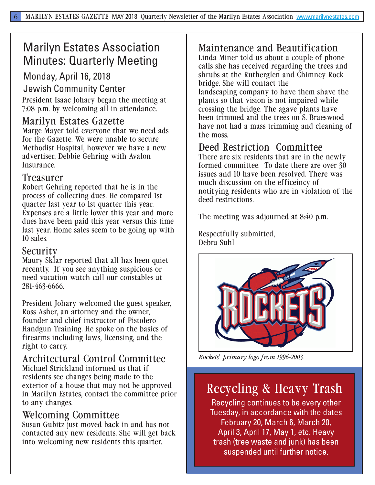# Marilyn Estates Association Minutes: Quarterly Meeting

#### Monday, April 16, 2018

Jewish Community Center

President Isaac Johary began the meeting at 7:08 p.m. by welcoming all in attendance.

#### Marilyn Estates Gazette

Marge Mayer told everyone that we need ads for the Gazette. We were unable to secure Methodist Hospital, however we have a new advertiser, Debbie Gehring with Avalon Insurance.

#### Treasurer

Robert Gehring reported that he is in the process of collecting dues. He compared 1st quarter last year to 1st quarter this year. Expenses are a little lower this year and more dues have been paid this year versus this time last year. Home sales seem to be going up with 10 sales.

#### Security

Maury Sklar reported that all has been quiet recently. If you see anything suspicious or need vacation watch call our constables at 281-463-6666.

President Johary welcomed the guest speaker, Ross Asher, an attorney and the owner, founder and chief instructor of Pistolero Handgun Training. He spoke on the basics of firearms including laws, licensing, and the right to carry.

Architectural Control Committee Michael Strickland informed us that if residents see changes being made to the exterior of a house that may not be approved in Marilyn Estates, contact the committee prior to any changes.

#### Welcoming Committee

Susan Gubitz just moved back in and has not contacted any new residents. She will get back into welcoming new residents this quarter.

### Maintenance and Beautification

Linda Miner told us about a couple of phone calls she has received regarding the trees and shrubs at the Rutherglen and Chimney Rock bridge. She will contact the landscaping company to have them shave the plants so that vision is not impaired while crossing the bridge. The agave plants have been trimmed and the trees on S. Braeswood have not had a mass trimming and cleaning of the moss.

### Deed Restriction Committee

There are six residents that are in the newly formed committee. To date there are over 30 issues and 10 have been resolved. There was much discussion on the efficeincy of notifying residents who are in violation of the deed restrictions.

The meeting was adjourned at 8:40 p.m.

Respectfully submitted, Debra Suhl



*Rockets' primary logo from 1996-2003.*

## Recycling & Heavy Trash

Recycling continues to be every other Tuesday, in accordance with the dates February 20, March 6, March 20, April 3, April 17, May 1, etc. Heavy trash (tree waste and junk) has been suspended until further notice.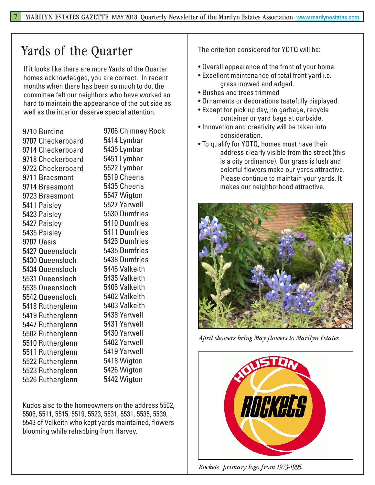# Yards of the Quarter The criterion considered for YOTQ will be:

If it looks like there are more Yards of the Quarter homes acknowledged, you are correct. In recent months when there has been so much to do, the committee felt our neighbors who have worked so hard to maintain the appearance of the out side as well as the interior deserve special attention.

9710 Burdine 9707 Checkerboard 9714 Checkerboard 9718 Checkerboard 9722 Checkerboard 9711 Braesmont 9714 Braesmont 9723 Braesmont 5411 Paisley 5423 Paisley 5427 Paisley 5435 Paisley 9707 Oasis 5427 Queensloch 5430 Queensloch 5434 Queensloch 5531 Queensloch 5535 Queensloch 5542 Queensloch 5418 Rutherglenn 5419 Rutherglenn 5447 Rutherglenn 5502 Rutherglenn 5510 Rutherglenn 5511 Rutherglenn 5522 Rutherglenn 5523 Rutherglenn 5526 Rutherglenn

9706 Chimney Rock 5414 Lymbar 5435 Lymbar 5451 Lymbar 5522 Lymbar 5519 Cheena 5435 Cheena 5547 Wigton 5527 Yarwell 5530 Dumfries 5410 Dumfries 5411 Dumfries 5426 Dumfries 5435 Dumfries 5438 Dumfries 5446 Valkeith 5435 Valkeith 5406 Valkeith 5402 Valkeith 5403 Valkeith 5438 Yarwell 5431 Yarwell 5430 Yarwell 5402 Yarwell 5419 Yarwell 5418 Wigton 5426 Wigton 5442 Wigton

Kudos also to the homeowners on the address 5502, 5506, 5511, 5515, 5519, 5523, 5531, 5531, 5535, 5539, 5543 of Valkeith who kept yards maintained, flowers blooming while rehabbing from Harvey.

- Overall appearance of the front of your home.
- Excellent maintenance of total front yard i.e. grass mowed and edged.
- Bushes and trees trimmed
- Ornaments or decorations tastefully displayed.
- Except for pick up day, no garbage, recycle container or yard bags at curbside.
- Innovation and creativity will be taken into consideration.
- To qualify for YOTQ, homes must have their address clearly visible from the street (this is a city ordinance). Our grass is lush and colorful flowers make our yards attractive. Please continue to maintain your yards. It makes our neighborhood attractive.



*April showers bring May flowers to Marilyn Estates*



*Rockets' primary logo from 1973-1995.*